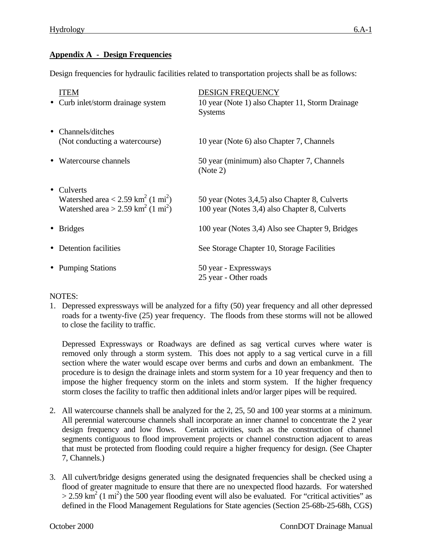## **Appendix A - Design Frequencies**

Design frequencies for hydraulic facilities related to transportation projects shall be as follows:

| ITEM<br>• Curb inlet/storm drainage system                                                                                                          | <b>DESIGN FREQUENCY</b><br>10 year (Note 1) also Chapter 11, Storm Drainage<br><b>Systems</b>   |
|-----------------------------------------------------------------------------------------------------------------------------------------------------|-------------------------------------------------------------------------------------------------|
| • Channels/ditches<br>(Not conducting a watercourse)                                                                                                | 10 year (Note 6) also Chapter 7, Channels                                                       |
| Watercourse channels                                                                                                                                | 50 year (minimum) also Chapter 7, Channels<br>(Note 2)                                          |
| Culverts<br>$\bullet$<br>Watershed area $< 2.59$ km <sup>2</sup> (1 mi <sup>2</sup> )<br>Watershed area > 2.59 km <sup>2</sup> (1 mi <sup>2</sup> ) | 50 year (Notes 3,4,5) also Chapter 8, Culverts<br>100 year (Notes 3,4) also Chapter 8, Culverts |
| <b>Bridges</b>                                                                                                                                      | 100 year (Notes 3,4) Also see Chapter 9, Bridges                                                |
| Detention facilities                                                                                                                                | See Storage Chapter 10, Storage Facilities                                                      |
| <b>Pumping Stations</b>                                                                                                                             | 50 year - Expressways<br>25 year - Other roads                                                  |

## NOTES:

1. Depressed expressways will be analyzed for a fifty (50) year frequency and all other depressed roads for a twenty-five (25) year frequency. The floods from these storms will not be allowed to close the facility to traffic.

Depressed Expressways or Roadways are defined as sag vertical curves where water is removed only through a storm system. This does not apply to a sag vertical curve in a fill section where the water would escape over berms and curbs and down an embankment. The procedure is to design the drainage inlets and storm system for a 10 year frequency and then to impose the higher frequency storm on the inlets and storm system. If the higher frequency storm closes the facility to traffic then additional inlets and/or larger pipes will be required.

- 2. All watercourse channels shall be analyzed for the 2, 25, 50 and 100 year storms at a minimum. All perennial watercourse channels shall incorporate an inner channel to concentrate the 2 year design frequency and low flows. Certain activities, such as the construction of channel segments contiguous to flood improvement projects or channel construction adjacent to areas that must be protected from flooding could require a higher frequency for design. (See Chapter 7, Channels.)
- 3. All culvert/bridge designs generated using the designated frequencies shall be checked using a flood of greater magnitude to ensure that there are no unexpected flood hazards. For watershed  $> 2.59$  km<sup>2</sup> (1 mi<sup>2</sup>) the 500 year flooding event will also be evaluated. For "critical activities" as defined in the Flood Management Regulations for State agencies (Section 25-68b-25-68h, CGS)